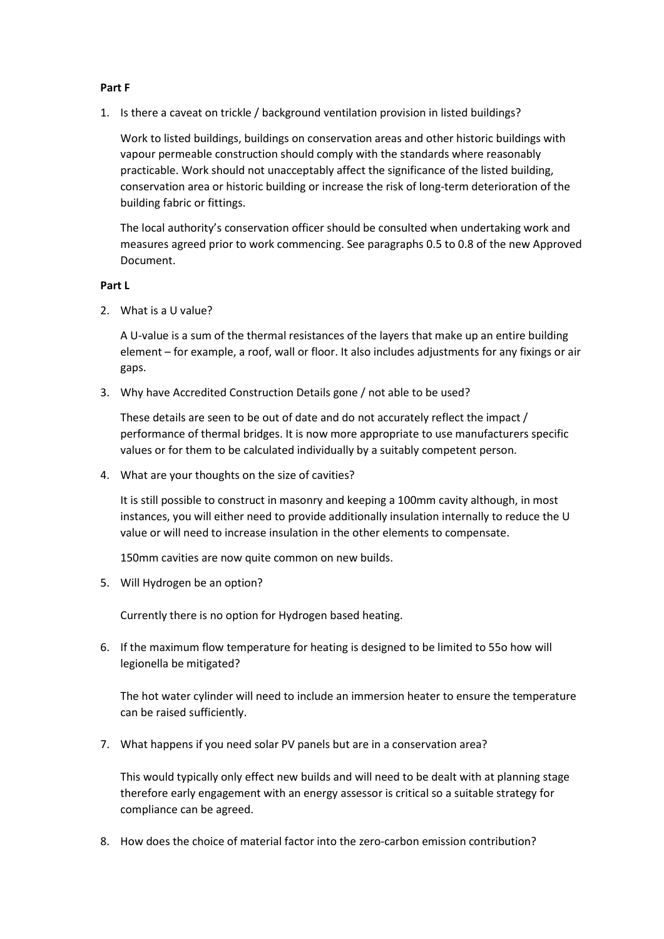### Part F

1. Is there a caveat on trickle / background ventilation provision in listed buildings?

Work to listed buildings, buildings on conservation areas and other historic buildings with vapour permeable construction should comply with the standards where reasonably practicable. Work should not unacceptably affect the significance of the listed building, conservation area or historic building or increase the risk of long-term deterioration of the building fabric or fittings.

The local authority's conservation officer should be consulted when undertaking work and measures agreed prior to work commencing. See paragraphs 0.5 to 0.8 of the new Approved Document.

# Part L

2. What is a U value?

A U-value is a sum of the thermal resistances of the layers that make up an entire building element – for example, a roof, wall or floor. It also includes adjustments for any fixings or air gaps.

3. Why have Accredited Construction Details gone / not able to be used?

These details are seen to be out of date and do not accurately reflect the impact / performance of thermal bridges. It is now more appropriate to use manufacturers specific values or for them to be calculated individually by a suitably competent person.

4. What are your thoughts on the size of cavities?

It is still possible to construct in masonry and keeping a 100mm cavity although, in most instances, you will either need to provide additionally insulation internally to reduce the U value or will need to increase insulation in the other elements to compensate.

150mm cavities are now quite common on new builds.

5. Will Hydrogen be an option?

Currently there is no option for Hydrogen based heating.

6. If the maximum flow temperature for heating is designed to be limited to 55o how will legionella be mitigated?

The hot water cylinder will need to include an immersion heater to ensure the temperature can be raised sufficiently.

7. What happens if you need solar PV panels but are in a conservation area?

This would typically only effect new builds and will need to be dealt with at planning stage therefore early engagement with an energy assessor is critical so a suitable strategy for compliance can be agreed.

8. How does the choice of material factor into the zero-carbon emission contribution?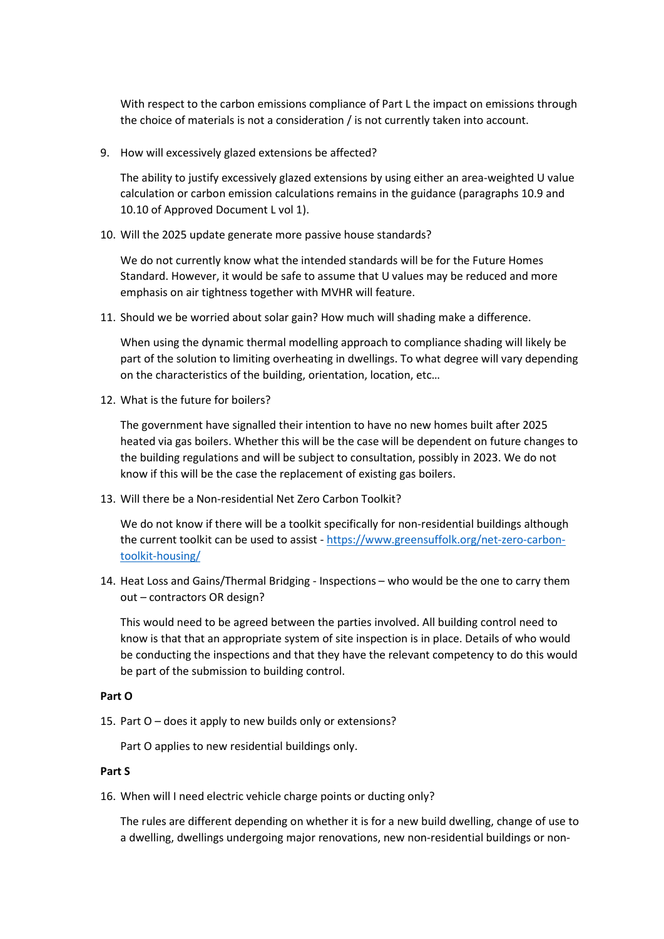With respect to the carbon emissions compliance of Part L the impact on emissions through the choice of materials is not a consideration / is not currently taken into account.

9. How will excessively glazed extensions be affected?

The ability to justify excessively glazed extensions by using either an area-weighted U value calculation or carbon emission calculations remains in the guidance (paragraphs 10.9 and 10.10 of Approved Document L vol 1).

10. Will the 2025 update generate more passive house standards?

We do not currently know what the intended standards will be for the Future Homes Standard. However, it would be safe to assume that U values may be reduced and more emphasis on air tightness together with MVHR will feature.

11. Should we be worried about solar gain? How much will shading make a difference.

When using the dynamic thermal modelling approach to compliance shading will likely be part of the solution to limiting overheating in dwellings. To what degree will vary depending on the characteristics of the building, orientation, location, etc…

12. What is the future for boilers?

The government have signalled their intention to have no new homes built after 2025 heated via gas boilers. Whether this will be the case will be dependent on future changes to the building regulations and will be subject to consultation, possibly in 2023. We do not know if this will be the case the replacement of existing gas boilers.

13. Will there be a Non-residential Net Zero Carbon Toolkit?

We do not know if there will be a toolkit specifically for non-residential buildings although the current toolkit can be used to assist - https://www.greensuffolk.org/net-zero-carbontoolkit-housing/

14. Heat Loss and Gains/Thermal Bridging - Inspections – who would be the one to carry them out – contractors OR design?

This would need to be agreed between the parties involved. All building control need to know is that that an appropriate system of site inspection is in place. Details of who would be conducting the inspections and that they have the relevant competency to do this would be part of the submission to building control.

# Part O

15. Part O – does it apply to new builds only or extensions?

Part O applies to new residential buildings only.

### Part S

16. When will I need electric vehicle charge points or ducting only?

The rules are different depending on whether it is for a new build dwelling, change of use to a dwelling, dwellings undergoing major renovations, new non-residential buildings or non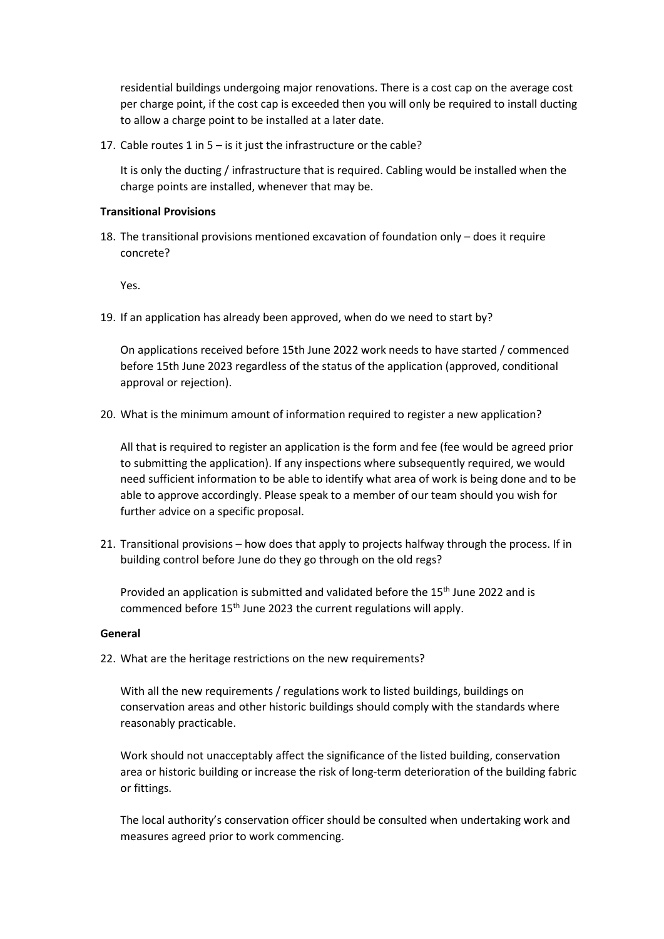residential buildings undergoing major renovations. There is a cost cap on the average cost per charge point, if the cost cap is exceeded then you will only be required to install ducting to allow a charge point to be installed at a later date.

17. Cable routes 1 in 5 – is it just the infrastructure or the cable?

It is only the ducting / infrastructure that is required. Cabling would be installed when the charge points are installed, whenever that may be.

# Transitional Provisions

18. The transitional provisions mentioned excavation of foundation only – does it require concrete?

Yes.

19. If an application has already been approved, when do we need to start by?

On applications received before 15th June 2022 work needs to have started / commenced before 15th June 2023 regardless of the status of the application (approved, conditional approval or rejection).

20. What is the minimum amount of information required to register a new application?

All that is required to register an application is the form and fee (fee would be agreed prior to submitting the application). If any inspections where subsequently required, we would need sufficient information to be able to identify what area of work is being done and to be able to approve accordingly. Please speak to a member of our team should you wish for further advice on a specific proposal.

21. Transitional provisions – how does that apply to projects halfway through the process. If in building control before June do they go through on the old regs?

Provided an application is submitted and validated before the 15<sup>th</sup> June 2022 and is commenced before 15<sup>th</sup> June 2023 the current regulations will apply.

### General

22. What are the heritage restrictions on the new requirements?

With all the new requirements / regulations work to listed buildings, buildings on conservation areas and other historic buildings should comply with the standards where reasonably practicable.

Work should not unacceptably affect the significance of the listed building, conservation area or historic building or increase the risk of long-term deterioration of the building fabric or fittings.

The local authority's conservation officer should be consulted when undertaking work and measures agreed prior to work commencing.